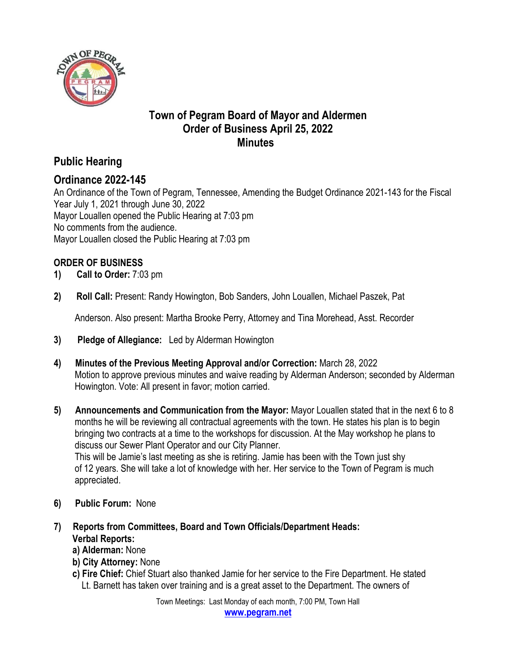

### **Town of Pegram Board of Mayor and Aldermen Order of Business April 25, 2022 Minutes**

# **Public Hearing**

### **Ordinance 2022-145**

An Ordinance of the Town of Pegram, Tennessee, Amending the Budget Ordinance 2021-143 for the Fiscal Year July 1, 2021 through June 30, 2022 Mayor Louallen opened the Public Hearing at 7:03 pm No comments from the audience. Mayor Louallen closed the Public Hearing at 7:03 pm

### **ORDER OF BUSINESS**

- **1) Call to Order:** 7:03 pm
- **2) Roll Call:** Present: Randy Howington, Bob Sanders, John Louallen, Michael Paszek, Pat

Anderson. Also present: Martha Brooke Perry, Attorney and Tina Morehead, Asst. Recorder

- **3) Pledge of Allegiance:** Led by Alderman Howington
- **4) Minutes of the Previous Meeting Approval and/or Correction:** March 28, 2022 Motion to approve previous minutes and waive reading by Alderman Anderson; seconded by Alderman Howington. Vote: All present in favor; motion carried.
- **5) Announcements and Communication from the Mayor:** Mayor Louallen stated that in the next 6 to 8 months he will be reviewing all contractual agreements with the town. He states his plan is to begin bringing two contracts at a time to the workshops for discussion. At the May workshop he plans to discuss our Sewer Plant Operator and our City Planner. This will be Jamie's last meeting as she is retiring. Jamie has been with the Town just shy of 12 years. She will take a lot of knowledge with her. Her service to the Town of Pegram is much appreciated.
- **6) Public Forum:** None
- **7) Reports from Committees, Board and Town Officials/Department Heads: Verbal Reports:** 
	- **a) Alderman:** None
	- **b) City Attorney:** None
	- **c) Fire Chief:** Chief Stuart also thanked Jamie for her service to the Fire Department. He stated Lt. Barnett has taken over training and is a great asset to the Department. The owners of

Town Meetings: Last Monday of each month, 7:00 PM, Town Hall **www.pegram.net**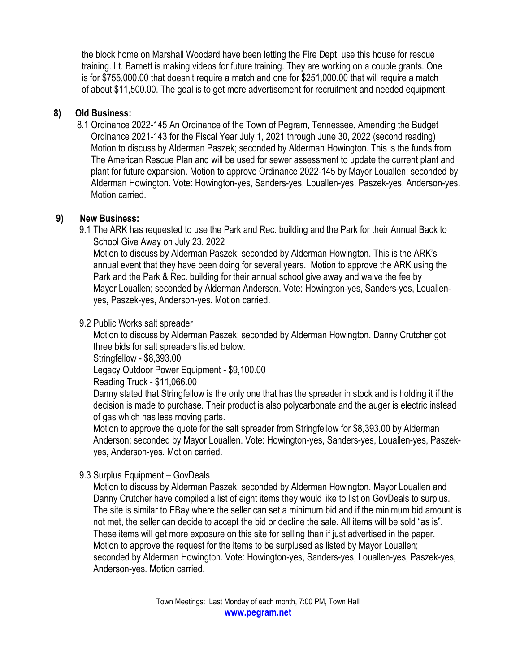the block home on Marshall Woodard have been letting the Fire Dept. use this house for rescue training. Lt. Barnett is making videos for future training. They are working on a couple grants. One is for \$755,000.00 that doesn't require a match and one for \$251,000.00 that will require a match of about \$11,500.00. The goal is to get more advertisement for recruitment and needed equipment.

#### **8) Old Business:**

 8.1 Ordinance 2022-145 An Ordinance of the Town of Pegram, Tennessee, Amending the Budget Ordinance 2021-143 for the Fiscal Year July 1, 2021 through June 30, 2022 (second reading) Motion to discuss by Alderman Paszek; seconded by Alderman Howington. This is the funds from The American Rescue Plan and will be used for sewer assessment to update the current plant and plant for future expansion. Motion to approve Ordinance 2022-145 by Mayor Louallen; seconded by Alderman Howington. Vote: Howington-yes, Sanders-yes, Louallen-yes, Paszek-yes, Anderson-yes. Motion carried.

#### **9) New Business:**

9.1 The ARK has requested to use the Park and Rec. building and the Park for their Annual Back to School Give Away on July 23, 2022

 Motion to discuss by Alderman Paszek; seconded by Alderman Howington. This is the ARK's annual event that they have been doing for several years. Motion to approve the ARK using the Park and the Park & Rec. building for their annual school give away and waive the fee by Mayor Louallen; seconded by Alderman Anderson. Vote: Howington-yes, Sanders-yes, Louallen yes, Paszek-yes, Anderson-yes. Motion carried.

#### 9.2 Public Works salt spreader

 Motion to discuss by Alderman Paszek; seconded by Alderman Howington. Danny Crutcher got three bids for salt spreaders listed below.

Stringfellow - \$8,393.00

Legacy Outdoor Power Equipment - \$9,100.00

Reading Truck - \$11,066.00

 Danny stated that Stringfellow is the only one that has the spreader in stock and is holding it if the decision is made to purchase. Their product is also polycarbonate and the auger is electric instead of gas which has less moving parts.

 Motion to approve the quote for the salt spreader from Stringfellow for \$8,393.00 by Alderman Anderson; seconded by Mayor Louallen. Vote: Howington-yes, Sanders-yes, Louallen-yes, Paszek yes, Anderson-yes. Motion carried.

#### 9.3 Surplus Equipment – GovDeals

 Motion to discuss by Alderman Paszek; seconded by Alderman Howington. Mayor Louallen and Danny Crutcher have compiled a list of eight items they would like to list on GovDeals to surplus. The site is similar to EBay where the seller can set a minimum bid and if the minimum bid amount is not met, the seller can decide to accept the bid or decline the sale. All items will be sold "as is". These items will get more exposure on this site for selling than if just advertised in the paper. Motion to approve the request for the items to be surplused as listed by Mayor Louallen; seconded by Alderman Howington. Vote: Howington-yes, Sanders-yes, Louallen-yes, Paszek-yes, Anderson-yes. Motion carried.